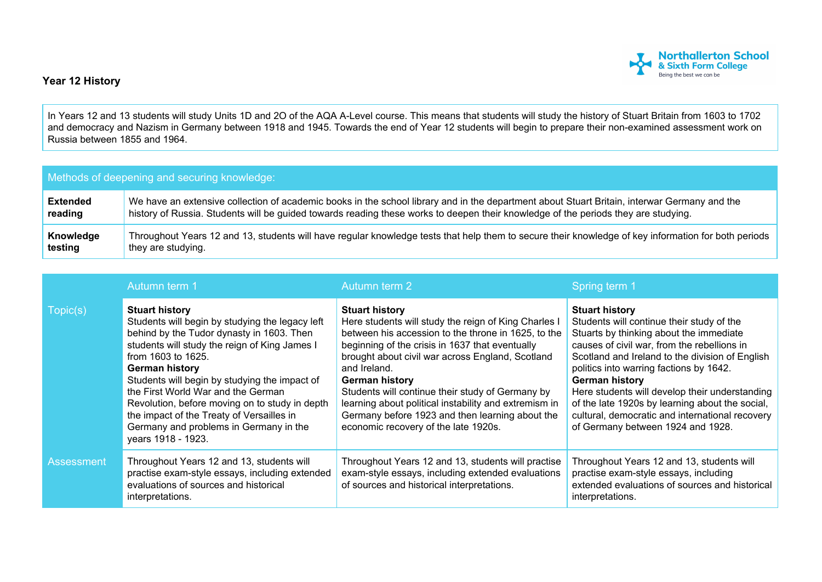

## **Year 12 History**

In Years 12 and 13 students will study Units 1D and 2O of the AQA A-Level course. This means that students will study the history of Stuart Britain from 1603 to 1702 and democracy and Nazism in Germany between 1918 and 1945. Towards the end of Year 12 students will begin to prepare their non-examined assessment work on Russia between 1855 and 1964.

| Methods of deepening and securing knowledge: |                                                                                                                                                     |  |  |
|----------------------------------------------|-----------------------------------------------------------------------------------------------------------------------------------------------------|--|--|
| <b>Extended</b>                              | We have an extensive collection of academic books in the school library and in the department about Stuart Britain, interwar Germany and the        |  |  |
| reading                                      | history of Russia. Students will be guided towards reading these works to deepen their knowledge of the periods they are studying.                  |  |  |
| Knowledge                                    | Throughout Years 12 and 13, students will have regular knowledge tests that help them to secure their knowledge of key information for both periods |  |  |
| testing                                      | they are studying.                                                                                                                                  |  |  |

|            | Autumn term 1                                                                                                                                                                                                                                                                                                                                                                                                                                                               | Autumn term 2                                                                                                                                                                                                                                                                                                                                                                                                                                                                                | Spring term 1                                                                                                                                                                                                                                                                                                                                                                                                                                                             |
|------------|-----------------------------------------------------------------------------------------------------------------------------------------------------------------------------------------------------------------------------------------------------------------------------------------------------------------------------------------------------------------------------------------------------------------------------------------------------------------------------|----------------------------------------------------------------------------------------------------------------------------------------------------------------------------------------------------------------------------------------------------------------------------------------------------------------------------------------------------------------------------------------------------------------------------------------------------------------------------------------------|---------------------------------------------------------------------------------------------------------------------------------------------------------------------------------------------------------------------------------------------------------------------------------------------------------------------------------------------------------------------------------------------------------------------------------------------------------------------------|
| Topic(s)   | <b>Stuart history</b><br>Students will begin by studying the legacy left<br>behind by the Tudor dynasty in 1603. Then<br>students will study the reign of King James I<br>from 1603 to 1625.<br><b>German history</b><br>Students will begin by studying the impact of<br>the First World War and the German<br>Revolution, before moving on to study in depth<br>the impact of the Treaty of Versailles in<br>Germany and problems in Germany in the<br>years 1918 - 1923. | <b>Stuart history</b><br>Here students will study the reign of King Charles I<br>between his accession to the throne in 1625, to the<br>beginning of the crisis in 1637 that eventually<br>brought about civil war across England, Scotland<br>and Ireland.<br><b>German history</b><br>Students will continue their study of Germany by<br>learning about political instability and extremism in<br>Germany before 1923 and then learning about the<br>economic recovery of the late 1920s. | <b>Stuart history</b><br>Students will continue their study of the<br>Stuarts by thinking about the immediate<br>causes of civil war, from the rebellions in<br>Scotland and Ireland to the division of English<br>politics into warring factions by 1642.<br>German history<br>Here students will develop their understanding<br>of the late 1920s by learning about the social,<br>cultural, democratic and international recovery<br>of Germany between 1924 and 1928. |
| Assessment | Throughout Years 12 and 13, students will<br>practise exam-style essays, including extended<br>evaluations of sources and historical<br>interpretations.                                                                                                                                                                                                                                                                                                                    | Throughout Years 12 and 13, students will practise<br>exam-style essays, including extended evaluations<br>of sources and historical interpretations.                                                                                                                                                                                                                                                                                                                                        | Throughout Years 12 and 13, students will<br>practise exam-style essays, including<br>extended evaluations of sources and historical<br>interpretations.                                                                                                                                                                                                                                                                                                                  |